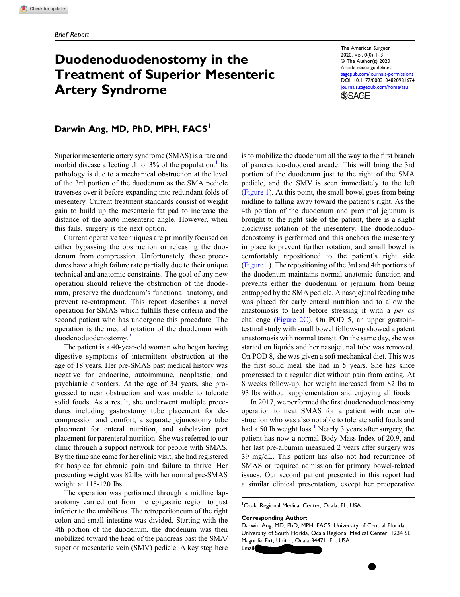# Duodenoduodenostomy in the Treatment of Superior Mesenteric Artery Syndrome

The American Surgeon 2020, Vol. 0(0) 1–3 © The Author(s) 2020 Article reuse guidelines:

[sagepub.com/journals-permissions](https://us.sagepub.com/en-us/journals-permissions) DOI: [10.1177/0003134820981674](https://doi.org/10.1177/0003134820981674) [journals.sagepub.com/home/asu](https://journals.sagepub.com/home/asu)



## Darwin Ang, MD, PhD, MPH, FACS<sup>1</sup>

Superior mesenteric artery syndrome (SMAS) is a rare and morbid disease affecting  $.1$  $.1$  to  $.3\%$  of the population.<sup>1</sup> Its pathology is due to a mechanical obstruction at the level of the 3rd portion of the duodenum as the SMA pedicle traverses over it before expanding into redundant folds of mesentery. Current treatment standards consist of weight gain to build up the mesenteric fat pad to increase the distance of the aorto-mesenteric angle. However, when this fails, surgery is the next option.

Current operative techniques are primarily focused on either bypassing the obstruction or releasing the duodenum from compression. Unfortunately, these procedures have a high failure rate partially due to their unique technical and anatomic constraints. The goal of any new operation should relieve the obstruction of the duodenum, preserve the duodenum's functional anatomy, and prevent re-entrapment. This report describes a novel operation for SMAS which fulfills these criteria and the second patient who has undergone this procedure. The operation is the medial rotation of the duodenum with duodenoduodenostomy.[2](#page-2-1)

The patient is a 40-year-old woman who began having digestive symptoms of intermittent obstruction at the age of 18 years. Her pre-SMAS past medical history was negative for endocrine, autoimmune, neoplastic, and psychiatric disorders. At the age of 34 years, she progressed to near obstruction and was unable to tolerate solid foods. As a result, she underwent multiple procedures including gastrostomy tube placement for decompression and comfort, a separate jejunostomy tube placement for enteral nutrition, and subclavian port placement for parenteral nutrition. She was referred to our clinic through a support network for people with SMAS. By the time she came for her clinic visit, she had registered for hospice for chronic pain and failure to thrive. Her presenting weight was 82 lbs with her normal pre-SMAS weight at 115-120 lbs.

The operation was performed through a midline laparotomy carried out from the epigastric region to just inferior to the umbilicus. The retroperitoneum of the right colon and small intestine was divided. Starting with the 4th portion of the duodenum, the duodenum was then mobilized toward the head of the pancreas past the SMA/ superior mesenteric vein (SMV) pedicle. A key step here is to mobilize the duodenum all the way to the first branch of pancreatico-duodenal arcade. This will bring the 3rd portion of the duodenum just to the right of the SMA pedicle, and the SMV is seen immediately to the left [\(Figure 1](#page-1-0)). At this point, the small bowel goes from being midline to falling away toward the patient's right. As the 4th portion of the duodenum and proximal jejunum is brought to the right side of the patient, there is a slight clockwise rotation of the mesentery. The duodenoduodenostomy is performed and this anchors the mesentery in place to prevent further rotation, and small bowel is comfortably repositioned to the patient's right side [\(Figure 1\)](#page-1-0). The repositioning of the 3rd and 4th portions of the duodenum maintains normal anatomic function and prevents either the duodenum or jejunum from being entrapped by the SMA pedicle. A nasojejunal feeding tube was placed for early enteral nutrition and to allow the anastomosis to heal before stressing it with a per os challenge [\(Figure 2C](#page-1-1)). On POD 5, an upper gastrointestinal study with small bowel follow-up showed a patent anastomosis with normal transit. On the same day, she was started on liquids and her nasojejunal tube was removed. On POD 8, she was given a soft mechanical diet. This was the first solid meal she had in 5 years. She has since progressed to a regular diet without pain from eating. At 8 weeks follow-up, her weight increased from 82 lbs to 93 lbs without supplementation and enjoying all foods.

In 2017, we performed the first duodenoduodenostomy operation to treat SMAS for a patient with near obstruction who was also not able to tolerate solid foods and had a 50 lb weight loss.<sup>[1](#page-2-0)</sup> Nearly 3 years after surgery, the patient has now a normal Body Mass Index of 20.9, and her last pre-albumin measured 2 years after surgery was 39 mg/dL. This patient has also not had recurrence of SMAS or required admission for primary bowel-related issues. Our second patient presented in this report had a similar clinical presentation, except her preoperative

1 Ocala Regional Medical Center, Ocala, FL, USA

#### Corresponding Author:

Darwin Ang, MD, PhD, MPH, FACS, University of Central Florida, University of South Florida, Ocala Regional Medical Center, 1234 SE Magnolia Ext, Unit 1, Ocala 34471, FL, USA. Email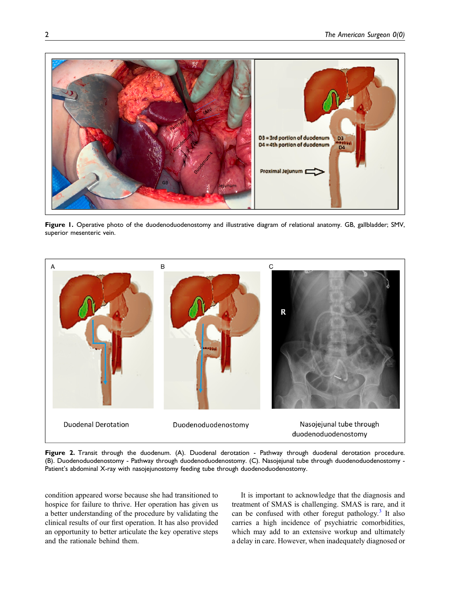

Figure 1. Operative photo of the duodenoduodenostomy and illustrative diagram of relational anatomy. GB, gallbladder; SMV, superior mesenteric vein.

<span id="page-1-0"></span>

<span id="page-1-1"></span>Figure 2. Transit through the duodenum. (A). Duodenal derotation - Pathway through duodenal derotation procedure. (B). Duodenoduodenostomy - Pathway through duodenoduodenostomy. (C). Nasojejunal tube through duodenoduodenostomy - Patient's abdominal X-ray with nasojejunostomy feeding tube through duodenoduodenostomy.

condition appeared worse because she had transitioned to hospice for failure to thrive. Her operation has given us a better understanding of the procedure by validating the clinical results of our first operation. It has also provided an opportunity to better articulate the key operative steps and the rationale behind them.

It is important to acknowledge that the diagnosis and treatment of SMAS is challenging. SMAS is rare, and it can be confused with other foregut pathology.<sup>[3](#page-2-2)</sup> It also carries a high incidence of psychiatric comorbidities, which may add to an extensive workup and ultimately a delay in care. However, when inadequately diagnosed or